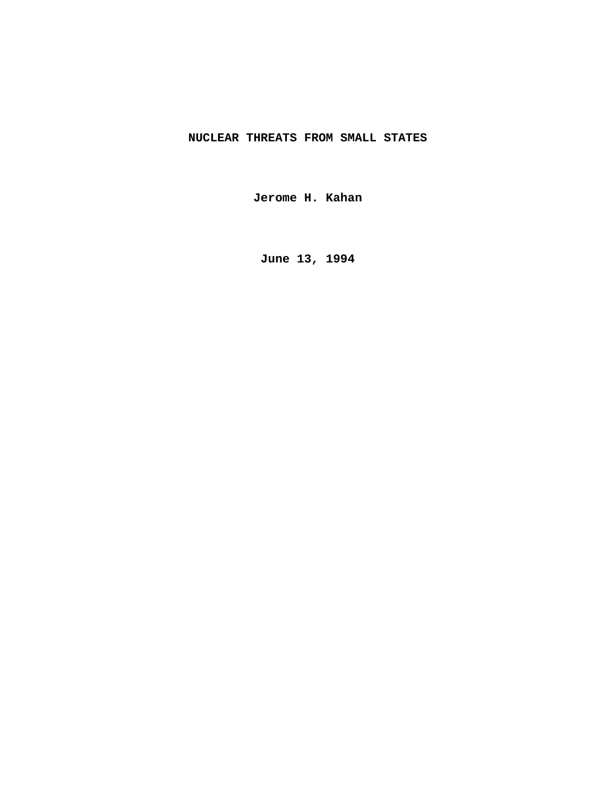# **NUCLEAR THREATS FROM SMALL STATES**

**Jerome H. Kahan**

**June 13, 1994**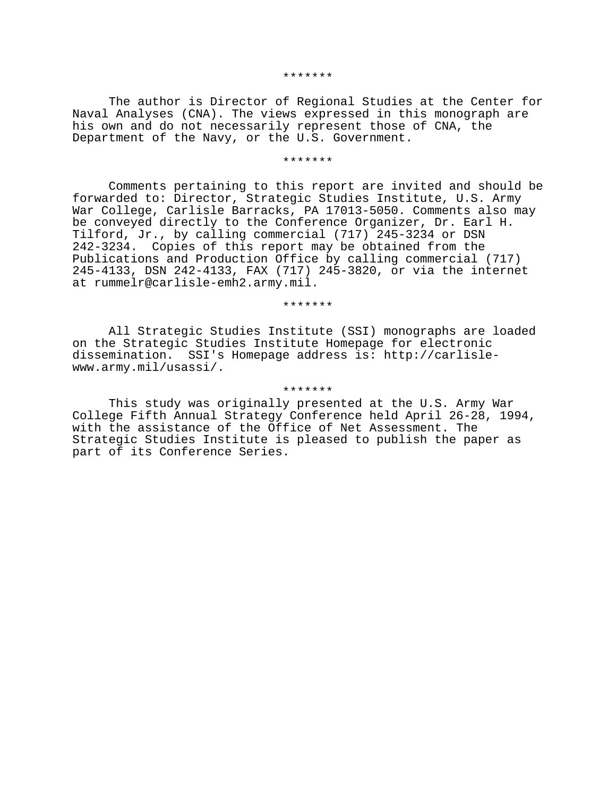#### \*\*\*\*\*\*\*

The author is Director of Regional Studies at the Center for Naval Analyses (CNA). The views expressed in this monograph are his own and do not necessarily represent those of CNA, the Department of the Navy, or the U.S. Government.

#### \*\*\*\*\*\*\*

Comments pertaining to this report are invited and should be forwarded to: Director, Strategic Studies Institute, U.S. Army War College, Carlisle Barracks, PA 17013-5050. Comments also may be conveyed directly to the Conference Organizer, Dr. Earl H. Tilford, Jr., by calling commercial (717) 245-3234 or DSN 242-3234. Copies of this report may be obtained from the Publications and Production Office by calling commercial (717) 245-4133, DSN 242-4133, FAX (717) 245-3820, or via the internet at rummelr@carlisle-emh2.army.mil.

\*\*\*\*\*\*\*

All Strategic Studies Institute (SSI) monographs are loaded on the Strategic Studies Institute Homepage for electronic dissemination. SSI's Homepage address is: http://carlislewww.army.mil/usassi/.

#### \*\*\*\*\*\*\*

This study was originally presented at the U.S. Army War College Fifth Annual Strategy Conference held April 26-28, 1994, with the assistance of the Office of Net Assessment. The Strategic Studies Institute is pleased to publish the paper as part of its Conference Series.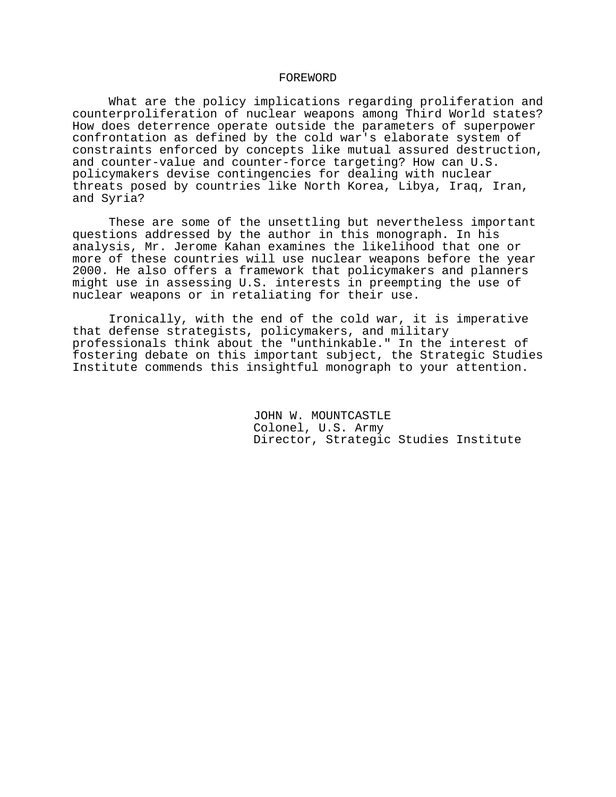## FOREWORD

What are the policy implications regarding proliferation and counterproliferation of nuclear weapons among Third World states? How does deterrence operate outside the parameters of superpower confrontation as defined by the cold war's elaborate system of constraints enforced by concepts like mutual assured destruction, and counter-value and counter-force targeting? How can U.S. policymakers devise contingencies for dealing with nuclear threats posed by countries like North Korea, Libya, Iraq, Iran, and Syria?

These are some of the unsettling but nevertheless important questions addressed by the author in this monograph. In his analysis, Mr. Jerome Kahan examines the likelihood that one or more of these countries will use nuclear weapons before the year 2000. He also offers a framework that policymakers and planners might use in assessing U.S. interests in preempting the use of nuclear weapons or in retaliating for their use.

Ironically, with the end of the cold war, it is imperative that defense strategists, policymakers, and military professionals think about the "unthinkable." In the interest of fostering debate on this important subject, the Strategic Studies Institute commends this insightful monograph to your attention.

> JOHN W. MOUNTCASTLE Colonel, U.S. Army Director, Strategic Studies Institute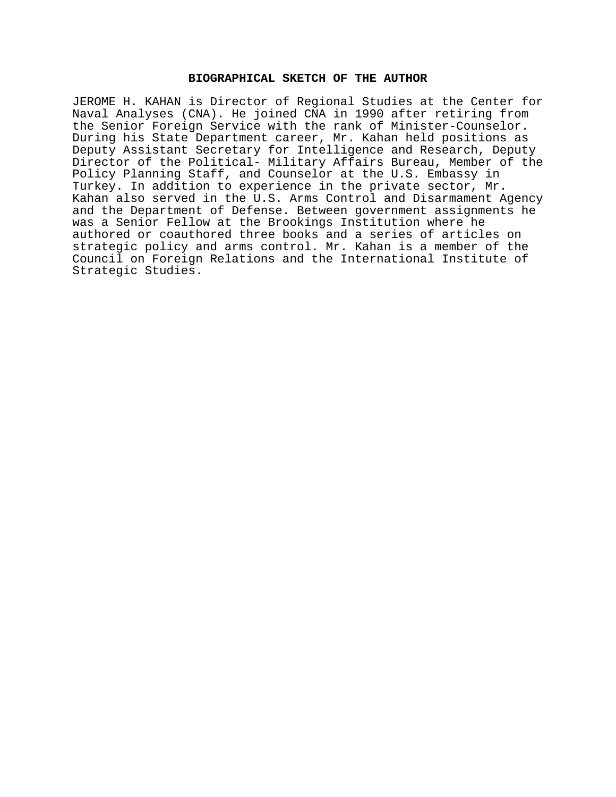## **BIOGRAPHICAL SKETCH OF THE AUTHOR**

JEROME H. KAHAN is Director of Regional Studies at the Center for Naval Analyses (CNA). He joined CNA in 1990 after retiring from the Senior Foreign Service with the rank of Minister-Counselor. During his State Department career, Mr. Kahan held positions as Deputy Assistant Secretary for Intelligence and Research, Deputy Director of the Political- Military Affairs Bureau, Member of the Policy Planning Staff, and Counselor at the U.S. Embassy in Turkey. In addition to experience in the private sector, Mr. Kahan also served in the U.S. Arms Control and Disarmament Agency and the Department of Defense. Between government assignments he was a Senior Fellow at the Brookings Institution where he authored or coauthored three books and a series of articles on strategic policy and arms control. Mr. Kahan is a member of the Council on Foreign Relations and the International Institute of Strategic Studies.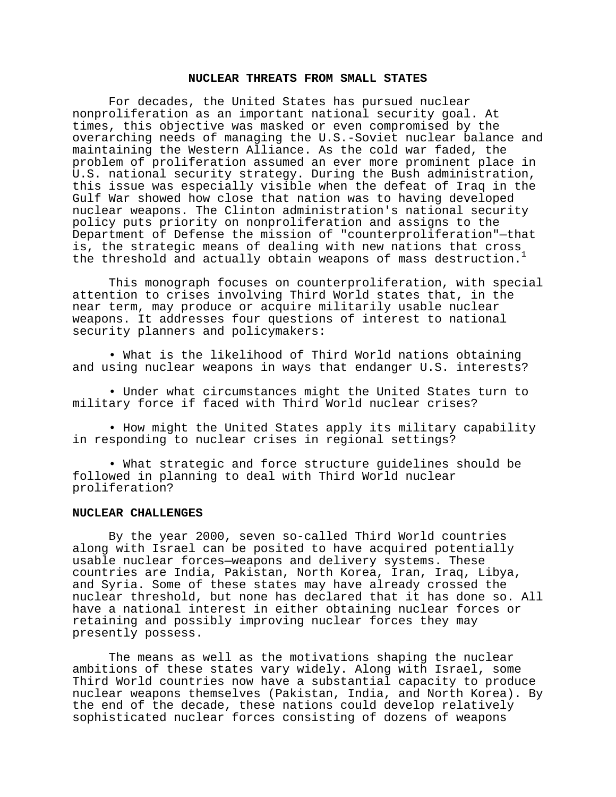## **NUCLEAR THREATS FROM SMALL STATES**

For decades, the United States has pursued nuclear nonproliferation as an important national security goal. At times, this objective was masked or even compromised by the overarching needs of managing the U.S.-Soviet nuclear balance and maintaining the Western Alliance. As the cold war faded, the problem of proliferation assumed an ever more prominent place in U.S. national security strategy. During the Bush administration, this issue was especially visible when the defeat of Iraq in the Gulf War showed how close that nation was to having developed nuclear weapons. The Clinton administration's national security policy puts priority on nonproliferation and assigns to the Department of Defense the mission of "counterproliferation"—that is, the strategic means of dealing with new nations that cross the threshold and actually obtain weapons of mass destruction.<sup>1</sup>

This monograph focuses on counterproliferation, with special attention to crises involving Third World states that, in the near term, may produce or acquire militarily usable nuclear weapons. It addresses four questions of interest to national security planners and policymakers:

• What is the likelihood of Third World nations obtaining and using nuclear weapons in ways that endanger U.S. interests?

• Under what circumstances might the United States turn to military force if faced with Third World nuclear crises?

• How might the United States apply its military capability in responding to nuclear crises in regional settings?

• What strategic and force structure guidelines should be followed in planning to deal with Third World nuclear proliferation?

#### **NUCLEAR CHALLENGES**

By the year 2000, seven so-called Third World countries along with Israel can be posited to have acquired potentially usable nuclear forces—weapons and delivery systems. These countries are India, Pakistan, North Korea, Iran, Iraq, Libya, and Syria. Some of these states may have already crossed the nuclear threshold, but none has declared that it has done so. All have a national interest in either obtaining nuclear forces or retaining and possibly improving nuclear forces they may presently possess.

The means as well as the motivations shaping the nuclear ambitions of these states vary widely. Along with Israel, some Third World countries now have a substantial capacity to produce nuclear weapons themselves (Pakistan, India, and North Korea). By the end of the decade, these nations could develop relatively sophisticated nuclear forces consisting of dozens of weapons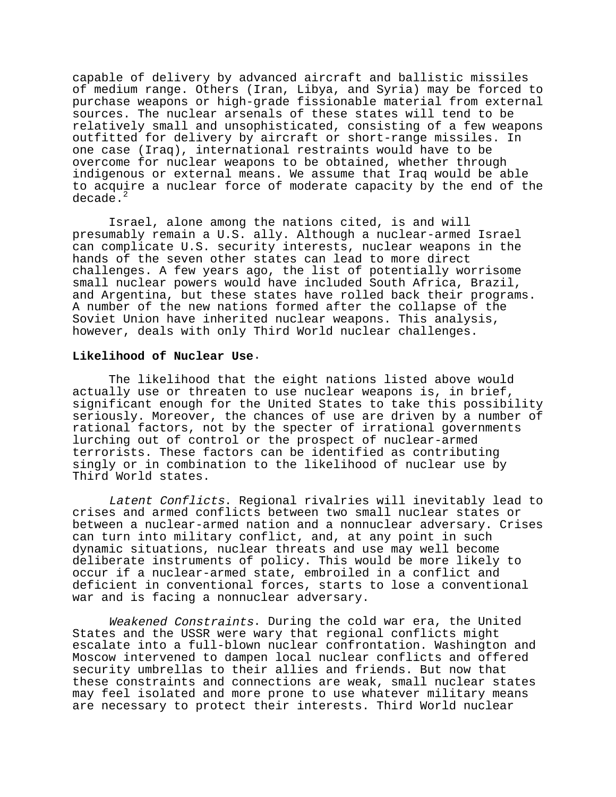capable of delivery by advanced aircraft and ballistic missiles of medium range. Others (Iran, Libya, and Syria) may be forced to purchase weapons or high-grade fissionable material from external sources. The nuclear arsenals of these states will tend to be relatively small and unsophisticated, consisting of a few weapons outfitted for delivery by aircraft or short-range missiles. In one case (Iraq), international restraints would have to be overcome for nuclear weapons to be obtained, whether through indigenous or external means. We assume that Iraq would be able to acquire a nuclear force of moderate capacity by the end of the decade.<sup>2</sup>

Israel, alone among the nations cited, is and will presumably remain a U.S. ally. Although a nuclear-armed Israel can complicate U.S. security interests, nuclear weapons in the hands of the seven other states can lead to more direct challenges. A few years ago, the list of potentially worrisome small nuclear powers would have included South Africa, Brazil, and Argentina, but these states have rolled back their programs. A number of the new nations formed after the collapse of the Soviet Union have inherited nuclear weapons. This analysis, however, deals with only Third World nuclear challenges.

## **Likelihood of Nuclear Use**.

The likelihood that the eight nations listed above would actually use or threaten to use nuclear weapons is, in brief, significant enough for the United States to take this possibility seriously. Moreover, the chances of use are driven by a number of rational factors, not by the specter of irrational governments lurching out of control or the prospect of nuclear-armed terrorists. These factors can be identified as contributing singly or in combination to the likelihood of nuclear use by Third World states.

Latent Conflicts. Regional rivalries will inevitably lead to crises and armed conflicts between two small nuclear states or between a nuclear-armed nation and a nonnuclear adversary. Crises can turn into military conflict, and, at any point in such dynamic situations, nuclear threats and use may well become deliberate instruments of policy. This would be more likely to occur if a nuclear-armed state, embroiled in a conflict and deficient in conventional forces, starts to lose a conventional war and is facing a nonnuclear adversary.

Weakened Constraints. During the cold war era, the United States and the USSR were wary that regional conflicts might escalate into a full-blown nuclear confrontation. Washington and Moscow intervened to dampen local nuclear conflicts and offered security umbrellas to their allies and friends. But now that these constraints and connections are weak, small nuclear states may feel isolated and more prone to use whatever military means are necessary to protect their interests. Third World nuclear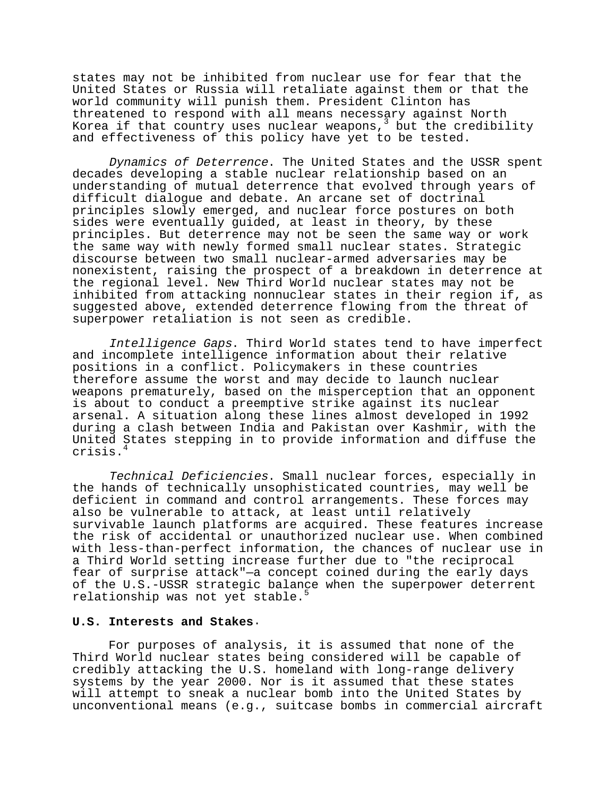states may not be inhibited from nuclear use for fear that the United States or Russia will retaliate against them or that the world community will punish them. President Clinton has threatened to respond with all means necessary against North Korea if that country uses nuclear weapons,  $3$  but the credibility and effectiveness of this policy have yet to be tested.

Dynamics of Deterrence. The United States and the USSR spent decades developing a stable nuclear relationship based on an understanding of mutual deterrence that evolved through years of difficult dialogue and debate. An arcane set of doctrinal principles slowly emerged, and nuclear force postures on both sides were eventually guided, at least in theory, by these principles. But deterrence may not be seen the same way or work the same way with newly formed small nuclear states. Strategic discourse between two small nuclear-armed adversaries may be nonexistent, raising the prospect of a breakdown in deterrence at the regional level. New Third World nuclear states may not be inhibited from attacking nonnuclear states in their region if, as suggested above, extended deterrence flowing from the threat of superpower retaliation is not seen as credible.

Intelligence Gaps. Third World states tend to have imperfect and incomplete intelligence information about their relative positions in a conflict. Policymakers in these countries therefore assume the worst and may decide to launch nuclear weapons prematurely, based on the misperception that an opponent is about to conduct a preemptive strike against its nuclear arsenal. A situation along these lines almost developed in 1992 during a clash between India and Pakistan over Kashmir, with the United States stepping in to provide information and diffuse the crisis.<sup>4</sup>

Technical Deficiencies. Small nuclear forces, especially in the hands of technically unsophisticated countries, may well be deficient in command and control arrangements. These forces may also be vulnerable to attack, at least until relatively survivable launch platforms are acquired. These features increase the risk of accidental or unauthorized nuclear use. When combined with less-than-perfect information, the chances of nuclear use in a Third World setting increase further due to "the reciprocal fear of surprise attack"—a concept coined during the early days of the U.S.-USSR strategic balance when the superpower deterrent relationship was not yet stable.<sup>5</sup>

## **U.S. Interests and Stakes**.

For purposes of analysis, it is assumed that none of the Third World nuclear states being considered will be capable of credibly attacking the U.S. homeland with long-range delivery systems by the year 2000. Nor is it assumed that these states will attempt to sneak a nuclear bomb into the United States by unconventional means (e.g., suitcase bombs in commercial aircraft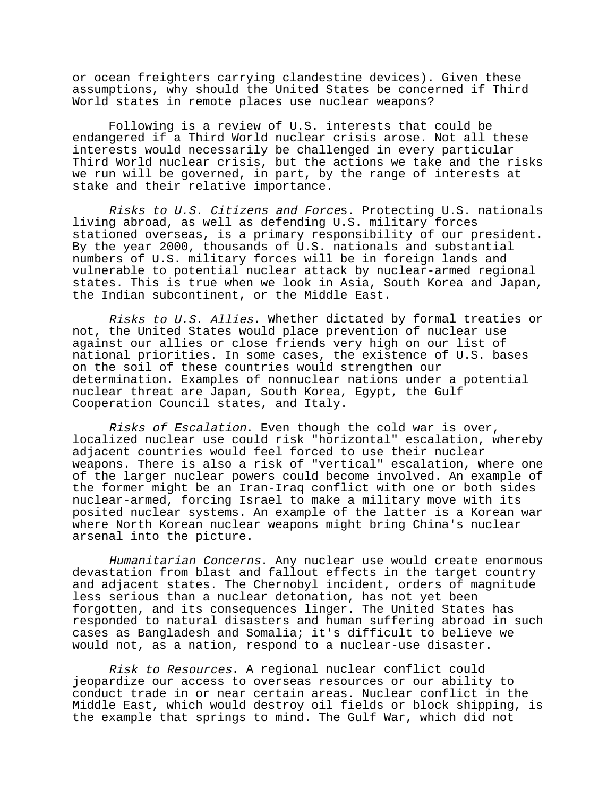or ocean freighters carrying clandestine devices). Given these assumptions, why should the United States be concerned if Third World states in remote places use nuclear weapons?

Following is a review of U.S. interests that could be endangered if a Third World nuclear crisis arose. Not all these interests would necessarily be challenged in every particular Third World nuclear crisis, but the actions we take and the risks we run will be governed, in part, by the range of interests at stake and their relative importance.

Risks to U.S. Citizens and Forces. Protecting U.S. nationals living abroad, as well as defending U.S. military forces stationed overseas, is a primary responsibility of our president. By the year 2000, thousands of U.S. nationals and substantial numbers of U.S. military forces will be in foreign lands and vulnerable to potential nuclear attack by nuclear-armed regional states. This is true when we look in Asia, South Korea and Japan, the Indian subcontinent, or the Middle East.

Risks to U.S. Allies. Whether dictated by formal treaties or not, the United States would place prevention of nuclear use against our allies or close friends very high on our list of national priorities. In some cases, the existence of U.S. bases on the soil of these countries would strengthen our determination. Examples of nonnuclear nations under a potential nuclear threat are Japan, South Korea, Egypt, the Gulf Cooperation Council states, and Italy.

Risks of Escalation. Even though the cold war is over, localized nuclear use could risk "horizontal" escalation, whereby adjacent countries would feel forced to use their nuclear weapons. There is also a risk of "vertical" escalation, where one of the larger nuclear powers could become involved. An example of the former might be an Iran-Iraq conflict with one or both sides nuclear-armed, forcing Israel to make a military move with its posited nuclear systems. An example of the latter is a Korean war where North Korean nuclear weapons might bring China's nuclear arsenal into the picture.

Humanitarian Concerns. Any nuclear use would create enormous devastation from blast and fallout effects in the target country and adjacent states. The Chernobyl incident, orders of magnitude less serious than a nuclear detonation, has not yet been forgotten, and its consequences linger. The United States has responded to natural disasters and human suffering abroad in such cases as Bangladesh and Somalia; it's difficult to believe we would not, as a nation, respond to a nuclear-use disaster.

Risk to Resources. A regional nuclear conflict could jeopardize our access to overseas resources or our ability to conduct trade in or near certain areas. Nuclear conflict in the Middle East, which would destroy oil fields or block shipping, is the example that springs to mind. The Gulf War, which did not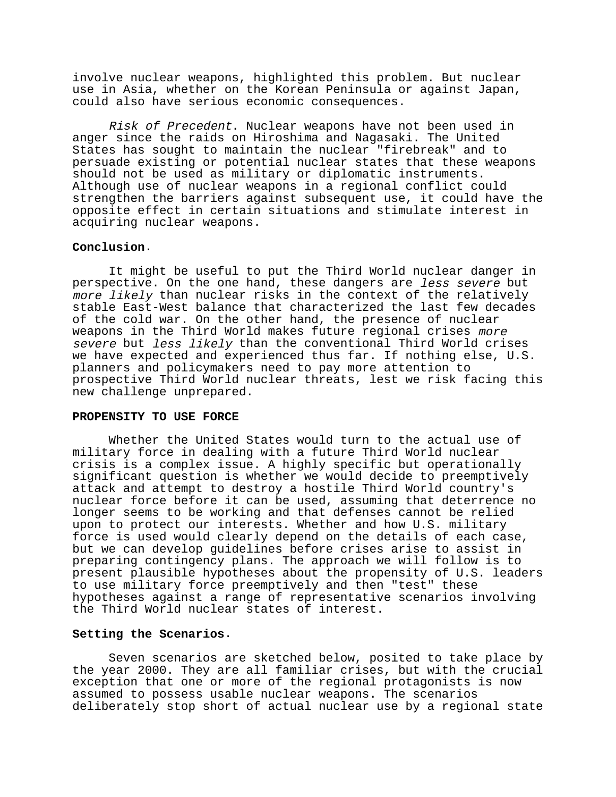involve nuclear weapons, highlighted this problem. But nuclear use in Asia, whether on the Korean Peninsula or against Japan, could also have serious economic consequences.

Risk of Precedent. Nuclear weapons have not been used in anger since the raids on Hiroshima and Nagasaki. The United States has sought to maintain the nuclear "firebreak" and to persuade existing or potential nuclear states that these weapons should not be used as military or diplomatic instruments. Although use of nuclear weapons in a regional conflict could strengthen the barriers against subsequent use, it could have the opposite effect in certain situations and stimulate interest in acquiring nuclear weapons.

## **Conclusion**.

It might be useful to put the Third World nuclear danger in perspective. On the one hand, these dangers are less severe but more likely than nuclear risks in the context of the relatively stable East-West balance that characterized the last few decades of the cold war. On the other hand, the presence of nuclear weapons in the Third World makes future regional crises more severe but less likely than the conventional Third World crises we have expected and experienced thus far. If nothing else, U.S. planners and policymakers need to pay more attention to prospective Third World nuclear threats, lest we risk facing this new challenge unprepared.

### **PROPENSITY TO USE FORCE**

Whether the United States would turn to the actual use of military force in dealing with a future Third World nuclear crisis is a complex issue. A highly specific but operationally significant question is whether we would decide to preemptively attack and attempt to destroy a hostile Third World country's nuclear force before it can be used, assuming that deterrence no longer seems to be working and that defenses cannot be relied upon to protect our interests. Whether and how U.S. military force is used would clearly depend on the details of each case, but we can develop guidelines before crises arise to assist in preparing contingency plans. The approach we will follow is to present plausible hypotheses about the propensity of U.S. leaders to use military force preemptively and then "test" these hypotheses against a range of representative scenarios involving the Third World nuclear states of interest.

## **Setting the Scenarios**.

Seven scenarios are sketched below, posited to take place by the year 2000. They are all familiar crises, but with the crucial exception that one or more of the regional protagonists is now assumed to possess usable nuclear weapons. The scenarios deliberately stop short of actual nuclear use by a regional state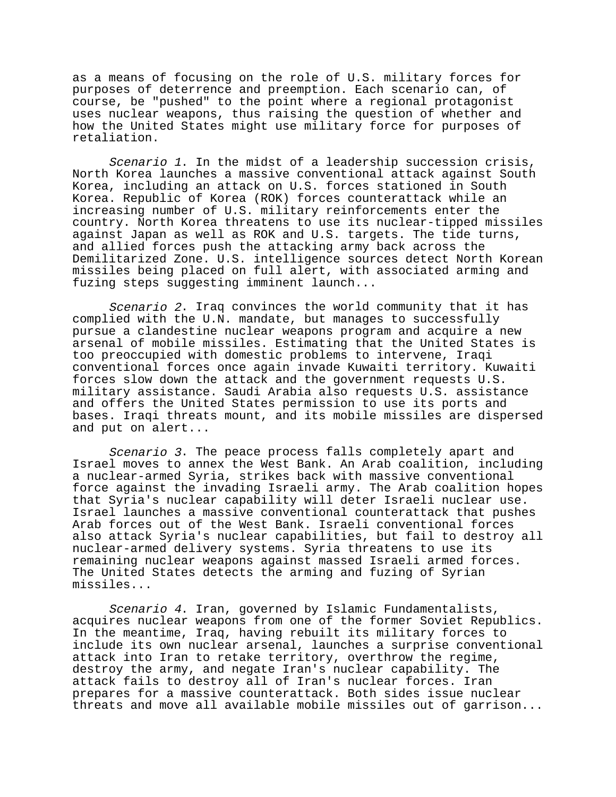as a means of focusing on the role of U.S. military forces for purposes of deterrence and preemption. Each scenario can, of course, be "pushed" to the point where a regional protagonist uses nuclear weapons, thus raising the question of whether and how the United States might use military force for purposes of retaliation.

Scenario 1. In the midst of a leadership succession crisis, North Korea launches a massive conventional attack against South Korea, including an attack on U.S. forces stationed in South Korea. Republic of Korea (ROK) forces counterattack while an increasing number of U.S. military reinforcements enter the country. North Korea threatens to use its nuclear-tipped missiles against Japan as well as ROK and U.S. targets. The tide turns, and allied forces push the attacking army back across the Demilitarized Zone. U.S. intelligence sources detect North Korean missiles being placed on full alert, with associated arming and fuzing steps suggesting imminent launch...

Scenario 2. Iraq convinces the world community that it has complied with the U.N. mandate, but manages to successfully pursue a clandestine nuclear weapons program and acquire a new arsenal of mobile missiles. Estimating that the United States is too preoccupied with domestic problems to intervene, Iraqi conventional forces once again invade Kuwaiti territory. Kuwaiti forces slow down the attack and the government requests U.S. military assistance. Saudi Arabia also requests U.S. assistance and offers the United States permission to use its ports and bases. Iraqi threats mount, and its mobile missiles are dispersed and put on alert...

Scenario 3. The peace process falls completely apart and Israel moves to annex the West Bank. An Arab coalition, including a nuclear-armed Syria, strikes back with massive conventional force against the invading Israeli army. The Arab coalition hopes that Syria's nuclear capability will deter Israeli nuclear use. Israel launches a massive conventional counterattack that pushes Arab forces out of the West Bank. Israeli conventional forces also attack Syria's nuclear capabilities, but fail to destroy all nuclear-armed delivery systems. Syria threatens to use its remaining nuclear weapons against massed Israeli armed forces. The United States detects the arming and fuzing of Syrian missiles...

Scenario 4. Iran, governed by Islamic Fundamentalists, acquires nuclear weapons from one of the former Soviet Republics. In the meantime, Iraq, having rebuilt its military forces to include its own nuclear arsenal, launches a surprise conventional attack into Iran to retake territory, overthrow the regime, destroy the army, and negate Iran's nuclear capability. The attack fails to destroy all of Iran's nuclear forces. Iran prepares for a massive counterattack. Both sides issue nuclear threats and move all available mobile missiles out of garrison...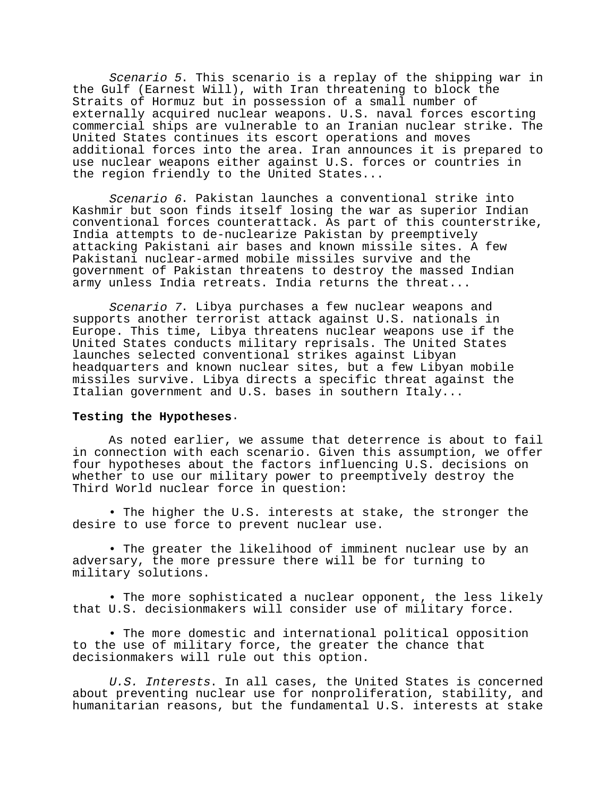Scenario 5. This scenario is a replay of the shipping war in the Gulf (Earnest Will), with Iran threatening to block the Straits of Hormuz but in possession of a small number of externally acquired nuclear weapons. U.S. naval forces escorting commercial ships are vulnerable to an Iranian nuclear strike. The United States continues its escort operations and moves additional forces into the area. Iran announces it is prepared to use nuclear weapons either against U.S. forces or countries in the region friendly to the United States...

Scenario 6. Pakistan launches a conventional strike into Kashmir but soon finds itself losing the war as superior Indian conventional forces counterattack. As part of this counterstrike, India attempts to de-nuclearize Pakistan by preemptively attacking Pakistani air bases and known missile sites. A few Pakistani nuclear-armed mobile missiles survive and the government of Pakistan threatens to destroy the massed Indian army unless India retreats. India returns the threat...

Scenario 7. Libya purchases a few nuclear weapons and supports another terrorist attack against U.S. nationals in Europe. This time, Libya threatens nuclear weapons use if the United States conducts military reprisals. The United States launches selected conventional strikes against Libyan headquarters and known nuclear sites, but a few Libyan mobile missiles survive. Libya directs a specific threat against the Italian government and U.S. bases in southern Italy...

### **Testing the Hypotheses**.

As noted earlier, we assume that deterrence is about to fail in connection with each scenario. Given this assumption, we offer four hypotheses about the factors influencing U.S. decisions on whether to use our military power to preemptively destroy the Third World nuclear force in question:

• The higher the U.S. interests at stake, the stronger the desire to use force to prevent nuclear use.

• The greater the likelihood of imminent nuclear use by an adversary, the more pressure there will be for turning to military solutions.

• The more sophisticated a nuclear opponent, the less likely that U.S. decisionmakers will consider use of military force.

• The more domestic and international political opposition to the use of military force, the greater the chance that decisionmakers will rule out this option.

U.S. Interests. In all cases, the United States is concerned about preventing nuclear use for nonproliferation, stability, and humanitarian reasons, but the fundamental U.S. interests at stake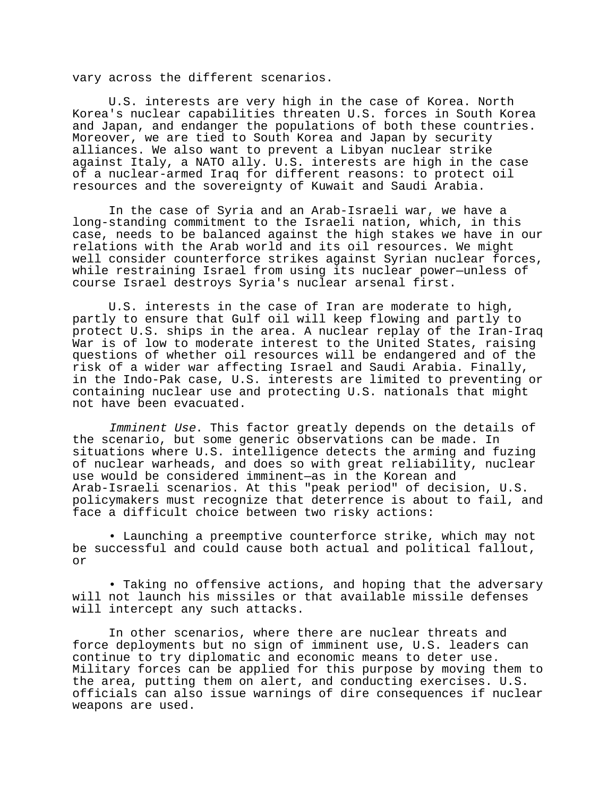vary across the different scenarios.

U.S. interests are very high in the case of Korea. North Korea's nuclear capabilities threaten U.S. forces in South Korea and Japan, and endanger the populations of both these countries. Moreover, we are tied to South Korea and Japan by security alliances. We also want to prevent a Libyan nuclear strike against Italy, a NATO ally. U.S. interests are high in the case of a nuclear-armed Iraq for different reasons: to protect oil resources and the sovereignty of Kuwait and Saudi Arabia.

In the case of Syria and an Arab-Israeli war, we have a long-standing commitment to the Israeli nation, which, in this case, needs to be balanced against the high stakes we have in our relations with the Arab world and its oil resources. We might well consider counterforce strikes against Syrian nuclear forces, while restraining Israel from using its nuclear power—unless of course Israel destroys Syria's nuclear arsenal first.

U.S. interests in the case of Iran are moderate to high, partly to ensure that Gulf oil will keep flowing and partly to protect U.S. ships in the area. A nuclear replay of the Iran-Iraq War is of low to moderate interest to the United States, raising questions of whether oil resources will be endangered and of the risk of a wider war affecting Israel and Saudi Arabia. Finally, in the Indo-Pak case, U.S. interests are limited to preventing or containing nuclear use and protecting U.S. nationals that might not have been evacuated.

Imminent Use. This factor greatly depends on the details of the scenario, but some generic observations can be made. In situations where U.S. intelligence detects the arming and fuzing of nuclear warheads, and does so with great reliability, nuclear use would be considered imminent—as in the Korean and Arab-Israeli scenarios. At this "peak period" of decision, U.S. policymakers must recognize that deterrence is about to fail, and face a difficult choice between two risky actions:

• Launching a preemptive counterforce strike, which may not be successful and could cause both actual and political fallout, or

• Taking no offensive actions, and hoping that the adversary will not launch his missiles or that available missile defenses will intercept any such attacks.

In other scenarios, where there are nuclear threats and force deployments but no sign of imminent use, U.S. leaders can continue to try diplomatic and economic means to deter use. Military forces can be applied for this purpose by moving them to the area, putting them on alert, and conducting exercises. U.S. officials can also issue warnings of dire consequences if nuclear weapons are used.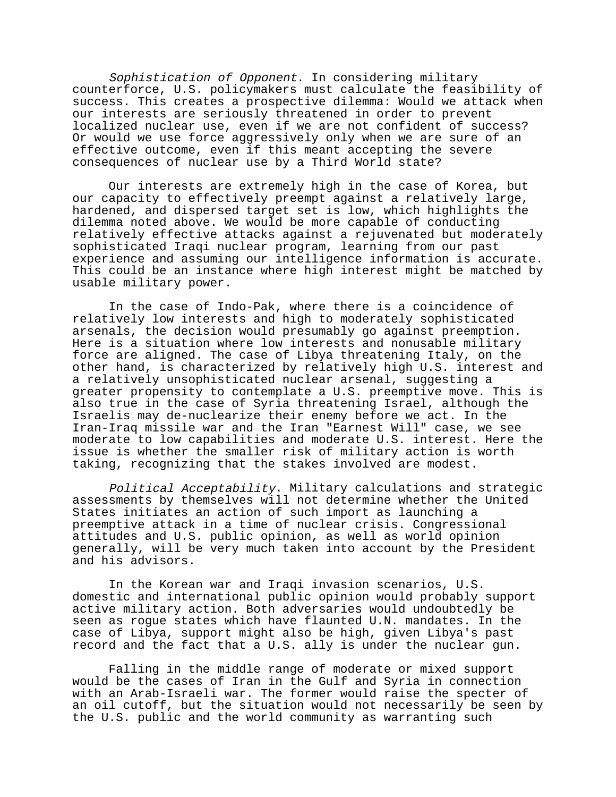Sophistication of Opponent. In considering military counterforce, U.S. policymakers must calculate the feasibility of success. This creates a prospective dilemma: Would we attack when our interests are seriously threatened in order to prevent localized nuclear use, even if we are not confident of success? Or would we use force aggressively only when we are sure of an effective outcome, even if this meant accepting the severe consequences of nuclear use by a Third World state?

Our interests are extremely high in the case of Korea, but our capacity to effectively preempt against a relatively large, hardened, and dispersed target set is low, which highlights the dilemma noted above. We would be more capable of conducting relatively effective attacks against a rejuvenated but moderately sophisticated Iraqi nuclear program, learning from our past experience and assuming our intelligence information is accurate. This could be an instance where high interest might be matched by usable military power.

In the case of Indo-Pak, where there is a coincidence of relatively low interests and high to moderately sophisticated arsenals, the decision would presumably go against preemption. Here is a situation where low interests and nonusable military force are aligned. The case of Libya threatening Italy, on the other hand, is characterized by relatively high U.S. interest and a relatively unsophisticated nuclear arsenal, suggesting a greater propensity to contemplate a U.S. preemptive move. This is also true in the case of Syria threatening Israel, although the Israelis may de-nuclearize their enemy before we act. In the Iran-Iraq missile war and the Iran "Earnest Will" case, we see moderate to low capabilities and moderate U.S. interest. Here the issue is whether the smaller risk of military action is worth taking, recognizing that the stakes involved are modest.

Political Acceptability. Military calculations and strategic assessments by themselves will not determine whether the United States initiates an action of such import as launching a preemptive attack in a time of nuclear crisis. Congressional attitudes and U.S. public opinion, as well as world opinion generally, will be very much taken into account by the President and his advisors.

In the Korean war and Iraqi invasion scenarios, U.S. domestic and international public opinion would probably support active military action. Both adversaries would undoubtedly be seen as rogue states which have flaunted U.N. mandates. In the case of Libya, support might also be high, given Libya's past record and the fact that a U.S. ally is under the nuclear gun.

Falling in the middle range of moderate or mixed support would be the cases of Iran in the Gulf and Syria in connection with an Arab-Israeli war. The former would raise the specter of an oil cutoff, but the situation would not necessarily be seen by the U.S. public and the world community as warranting such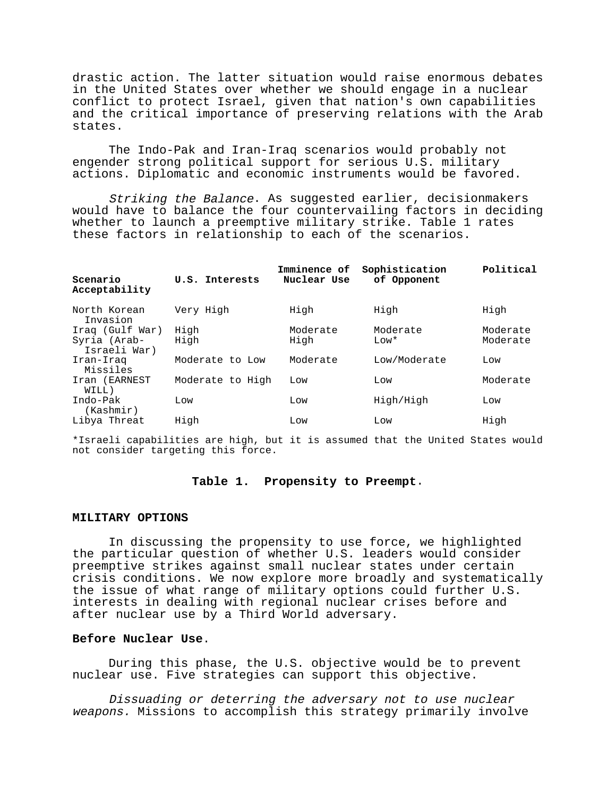drastic action. The latter situation would raise enormous debates in the United States over whether we should engage in a nuclear conflict to protect Israel, given that nation's own capabilities and the critical importance of preserving relations with the Arab states.

The Indo-Pak and Iran-Iraq scenarios would probably not engender strong political support for serious U.S. military actions. Diplomatic and economic instruments would be favored.

Striking the Balance. As suggested earlier, decisionmakers would have to balance the four countervailing factors in deciding whether to launch a preemptive military strike. Table 1 rates these factors in relationship to each of the scenarios.

| Scenario<br>Acceptability    | U.S. Interests   | Imminence of<br>Nuclear Use | Sophistication<br>of Opponent | Political |
|------------------------------|------------------|-----------------------------|-------------------------------|-----------|
| North Korean<br>Invasion     | Very High        | High                        | High                          | High      |
| Iraq (Gulf War)              | High             | Moderate                    | Moderate                      | Moderate  |
| Syria (Arab-<br>Israeli War) | High             | High                        | $Low*$                        | Moderate  |
| Iran-Iraq<br>Missiles        | Moderate to Low  | Moderate                    | Low/Moderate                  | Low       |
| Iran (EARNEST<br>WILL)       | Moderate to High | Low                         | Low                           | Moderate  |
| Indo-Pak<br>(Kashmir)        | Low              | Low                         | High/High                     | Low       |
| Libya Threat                 | High             | Low                         | Low                           | High      |

\*Israeli capabilities are high, but it is assumed that the United States would not consider targeting this force.

## **Table 1. Propensity to Preempt**.

#### **MILITARY OPTIONS**

In discussing the propensity to use force, we highlighted the particular question of whether U.S. leaders would consider preemptive strikes against small nuclear states under certain crisis conditions. We now explore more broadly and systematically the issue of what range of military options could further U.S. interests in dealing with regional nuclear crises before and after nuclear use by a Third World adversary.

## **Before Nuclear Use**.

During this phase, the U.S. objective would be to prevent nuclear use. Five strategies can support this objective.

Dissuading or deterring the adversary not to use nuclear weapons. Missions to accomplish this strategy primarily involve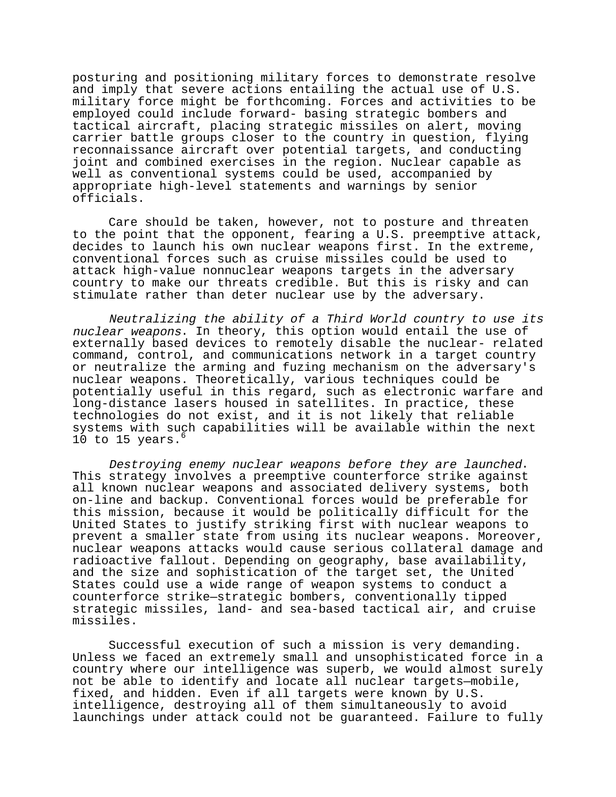posturing and positioning military forces to demonstrate resolve and imply that severe actions entailing the actual use of U.S. military force might be forthcoming. Forces and activities to be employed could include forward- basing strategic bombers and tactical aircraft, placing strategic missiles on alert, moving carrier battle groups closer to the country in question, flying reconnaissance aircraft over potential targets, and conducting joint and combined exercises in the region. Nuclear capable as well as conventional systems could be used, accompanied by appropriate high-level statements and warnings by senior officials.

Care should be taken, however, not to posture and threaten to the point that the opponent, fearing a U.S. preemptive attack, decides to launch his own nuclear weapons first. In the extreme, conventional forces such as cruise missiles could be used to attack high-value nonnuclear weapons targets in the adversary country to make our threats credible. But this is risky and can stimulate rather than deter nuclear use by the adversary.

Neutralizing the ability of a Third World country to use its nuclear weapons. In theory, this option would entail the use of externally based devices to remotely disable the nuclear- related command, control, and communications network in a target country or neutralize the arming and fuzing mechanism on the adversary's nuclear weapons. Theoretically, various techniques could be potentially useful in this regard, such as electronic warfare and long-distance lasers housed in satellites. In practice, these technologies do not exist, and it is not likely that reliable systems with such capabilities will be available within the next 10 to 15 years. $^{\circ}$ 

Destroying enemy nuclear weapons before they are launched. This strategy involves a preemptive counterforce strike against all known nuclear weapons and associated delivery systems, both on-line and backup. Conventional forces would be preferable for this mission, because it would be politically difficult for the United States to justify striking first with nuclear weapons to prevent a smaller state from using its nuclear weapons. Moreover, nuclear weapons attacks would cause serious collateral damage and radioactive fallout. Depending on geography, base availability, and the size and sophistication of the target set, the United States could use a wide range of weapon systems to conduct a counterforce strike—strategic bombers, conventionally tipped strategic missiles, land- and sea-based tactical air, and cruise missiles.

Successful execution of such a mission is very demanding. Unless we faced an extremely small and unsophisticated force in a country where our intelligence was superb, we would almost surely not be able to identify and locate all nuclear targets—mobile, fixed, and hidden. Even if all targets were known by U.S. intelligence, destroying all of them simultaneously to avoid launchings under attack could not be guaranteed. Failure to fully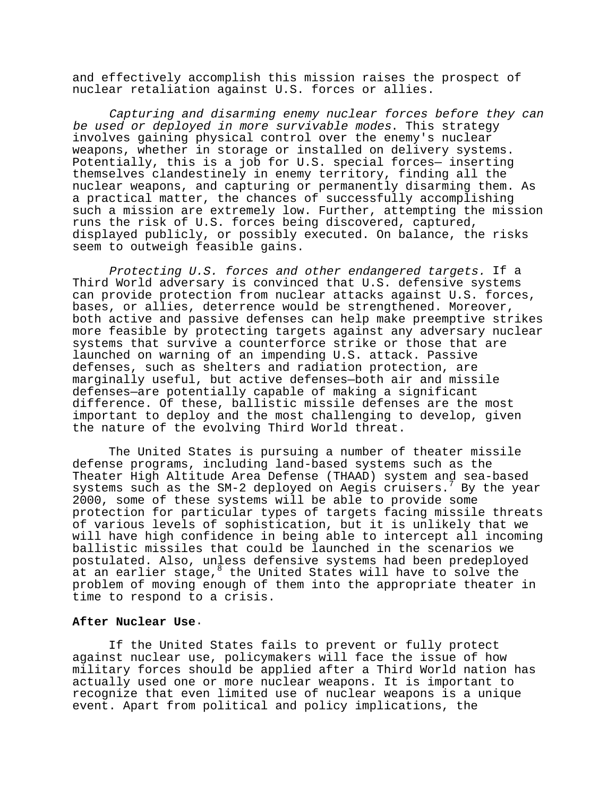and effectively accomplish this mission raises the prospect of nuclear retaliation against U.S. forces or allies.

Capturing and disarming enemy nuclear forces before they can be used or deployed in more survivable modes. This strategy involves gaining physical control over the enemy's nuclear weapons, whether in storage or installed on delivery systems. Potentially, this is a job for U.S. special forces— inserting themselves clandestinely in enemy territory, finding all the nuclear weapons, and capturing or permanently disarming them. As a practical matter, the chances of successfully accomplishing such a mission are extremely low. Further, attempting the mission runs the risk of U.S. forces being discovered, captured, displayed publicly, or possibly executed. On balance, the risks seem to outweigh feasible gains.

Protecting U.S. forces and other endangered targets. If a Third World adversary is convinced that U.S. defensive systems can provide protection from nuclear attacks against U.S. forces, bases, or allies, deterrence would be strengthened. Moreover, both active and passive defenses can help make preemptive strikes more feasible by protecting targets against any adversary nuclear systems that survive a counterforce strike or those that are launched on warning of an impending U.S. attack. Passive defenses, such as shelters and radiation protection, are marginally useful, but active defenses—both air and missile defenses—are potentially capable of making a significant difference. Of these, ballistic missile defenses are the most important to deploy and the most challenging to develop, given the nature of the evolving Third World threat.

The United States is pursuing a number of theater missile defense programs, including land-based systems such as the Theater High Altitude Area Defense (THAAD) system and sea-based systems such as the SM-2 deployed on Aegis cruisers.<sup>7</sup> By the year 2000, some of these systems will be able to provide some protection for particular types of targets facing missile threats of various levels of sophistication, but it is unlikely that we will have high confidence in being able to intercept all incoming ballistic missiles that could be launched in the scenarios we postulated. Also, unless defensive systems had been predeployed at an earlier stage, <sup>8</sup> the United States will have to solve the problem of moving enough of them into the appropriate theater in time to respond to a crisis.

## **After Nuclear Use**.

If the United States fails to prevent or fully protect against nuclear use, policymakers will face the issue of how military forces should be applied after a Third World nation has actually used one or more nuclear weapons. It is important to recognize that even limited use of nuclear weapons is a unique event. Apart from political and policy implications, the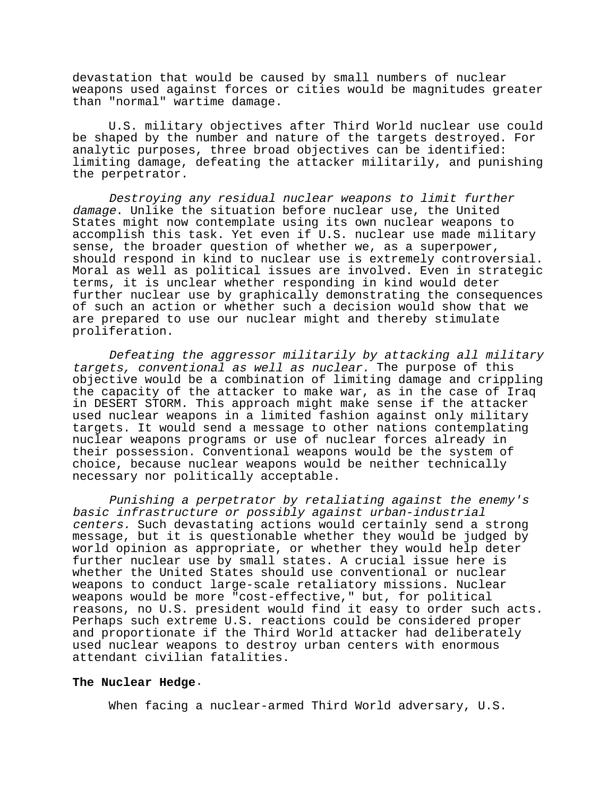devastation that would be caused by small numbers of nuclear weapons used against forces or cities would be magnitudes greater than "normal" wartime damage.

U.S. military objectives after Third World nuclear use could be shaped by the number and nature of the targets destroyed. For analytic purposes, three broad objectives can be identified: limiting damage, defeating the attacker militarily, and punishing the perpetrator.

Destroying any residual nuclear weapons to limit further damage. Unlike the situation before nuclear use, the United States might now contemplate using its own nuclear weapons to accomplish this task. Yet even if U.S. nuclear use made military sense, the broader question of whether we, as a superpower, should respond in kind to nuclear use is extremely controversial. Moral as well as political issues are involved. Even in strategic terms, it is unclear whether responding in kind would deter further nuclear use by graphically demonstrating the consequences of such an action or whether such a decision would show that we are prepared to use our nuclear might and thereby stimulate proliferation.

Defeating the aggressor militarily by attacking all military targets, conventional as well as nuclear. The purpose of this objective would be a combination of limiting damage and crippling the capacity of the attacker to make war, as in the case of Iraq in DESERT STORM. This approach might make sense if the attacker used nuclear weapons in a limited fashion against only military targets. It would send a message to other nations contemplating nuclear weapons programs or use of nuclear forces already in their possession. Conventional weapons would be the system of choice, because nuclear weapons would be neither technically necessary nor politically acceptable.

Punishing a perpetrator by retaliating against the enemy's basic infrastructure or possibly against urban-industrial centers. Such devastating actions would certainly send a strong message, but it is questionable whether they would be judged by world opinion as appropriate, or whether they would help deter further nuclear use by small states. A crucial issue here is whether the United States should use conventional or nuclear weapons to conduct large-scale retaliatory missions. Nuclear weapons would be more "cost-effective," but, for political reasons, no U.S. president would find it easy to order such acts. Perhaps such extreme U.S. reactions could be considered proper and proportionate if the Third World attacker had deliberately used nuclear weapons to destroy urban centers with enormous attendant civilian fatalities.

#### **The Nuclear Hedge**.

When facing a nuclear-armed Third World adversary, U.S.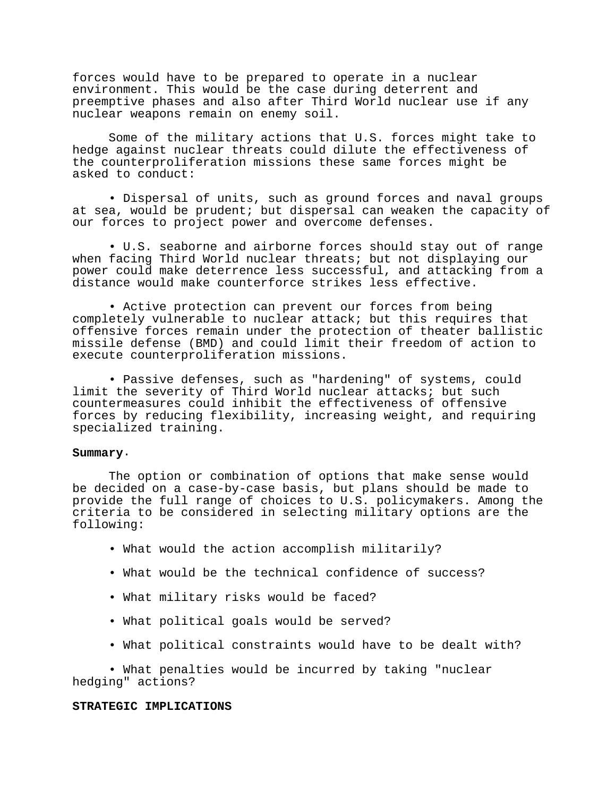forces would have to be prepared to operate in a nuclear environment. This would be the case during deterrent and preemptive phases and also after Third World nuclear use if any nuclear weapons remain on enemy soil.

Some of the military actions that U.S. forces might take to hedge against nuclear threats could dilute the effectiveness of the counterproliferation missions these same forces might be asked to conduct:

• Dispersal of units, such as ground forces and naval groups at sea, would be prudent; but dispersal can weaken the capacity of our forces to project power and overcome defenses.

• U.S. seaborne and airborne forces should stay out of range when facing Third World nuclear threats; but not displaying our power could make deterrence less successful, and attacking from a distance would make counterforce strikes less effective.

• Active protection can prevent our forces from being completely vulnerable to nuclear attack; but this requires that offensive forces remain under the protection of theater ballistic missile defense (BMD) and could limit their freedom of action to execute counterproliferation missions.

• Passive defenses, such as "hardening" of systems, could limit the severity of Third World nuclear attacks; but such countermeasures could inhibit the effectiveness of offensive forces by reducing flexibility, increasing weight, and requiring specialized training.

## **Summary**.

The option or combination of options that make sense would be decided on a case-by-case basis, but plans should be made to provide the full range of choices to U.S. policymakers. Among the criteria to be considered in selecting military options are the following:

- What would the action accomplish militarily?
- What would be the technical confidence of success?
- What military risks would be faced?
- What political goals would be served?
- What political constraints would have to be dealt with?

• What penalties would be incurred by taking "nuclear hedging" actions?

#### **STRATEGIC IMPLICATIONS**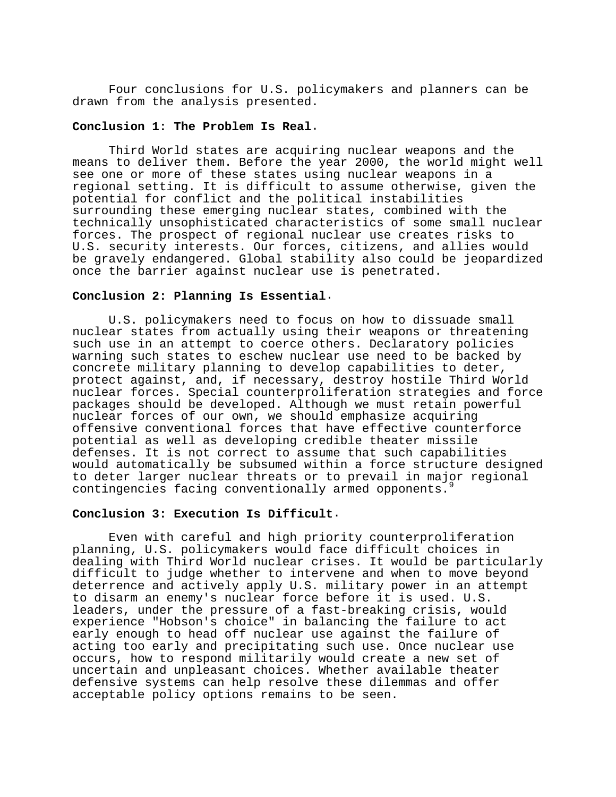Four conclusions for U.S. policymakers and planners can be drawn from the analysis presented.

## **Conclusion 1: The Problem Is Real**.

Third World states are acquiring nuclear weapons and the means to deliver them. Before the year 2000, the world might well see one or more of these states using nuclear weapons in a regional setting. It is difficult to assume otherwise, given the potential for conflict and the political instabilities surrounding these emerging nuclear states, combined with the technically unsophisticated characteristics of some small nuclear forces. The prospect of regional nuclear use creates risks to U.S. security interests. Our forces, citizens, and allies would be gravely endangered. Global stability also could be jeopardized once the barrier against nuclear use is penetrated.

## **Conclusion 2: Planning Is Essential**.

U.S. policymakers need to focus on how to dissuade small nuclear states from actually using their weapons or threatening such use in an attempt to coerce others. Declaratory policies warning such states to eschew nuclear use need to be backed by concrete military planning to develop capabilities to deter, protect against, and, if necessary, destroy hostile Third World nuclear forces. Special counterproliferation strategies and force packages should be developed. Although we must retain powerful nuclear forces of our own, we should emphasize acquiring offensive conventional forces that have effective counterforce potential as well as developing credible theater missile defenses. It is not correct to assume that such capabilities would automatically be subsumed within a force structure designed to deter larger nuclear threats or to prevail in major regional contingencies facing conventionally armed opponents.

## **Conclusion 3: Execution Is Difficult**.

Even with careful and high priority counterproliferation planning, U.S. policymakers would face difficult choices in dealing with Third World nuclear crises. It would be particularly difficult to judge whether to intervene and when to move beyond deterrence and actively apply U.S. military power in an attempt to disarm an enemy's nuclear force before it is used. U.S. leaders, under the pressure of a fast-breaking crisis, would experience "Hobson's choice" in balancing the failure to act early enough to head off nuclear use against the failure of acting too early and precipitating such use. Once nuclear use occurs, how to respond militarily would create a new set of uncertain and unpleasant choices. Whether available theater defensive systems can help resolve these dilemmas and offer acceptable policy options remains to be seen.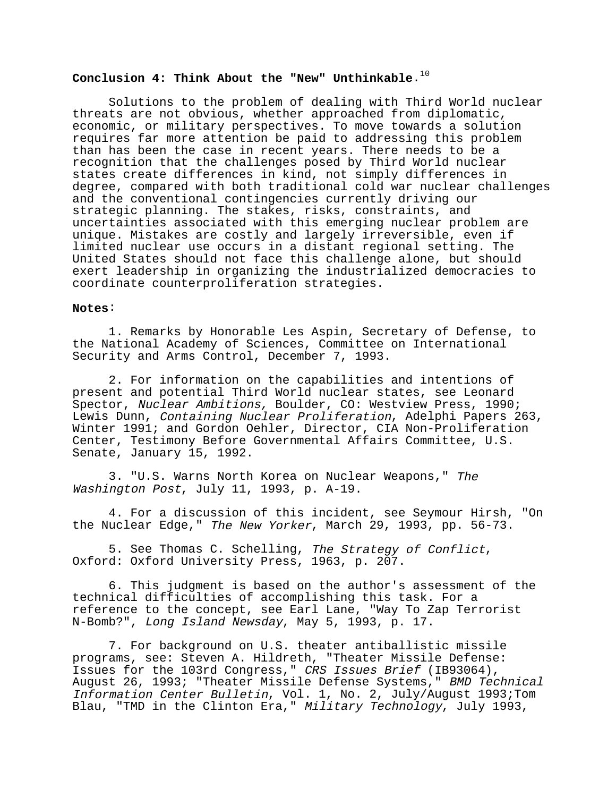## Conclusion 4: Think About the "New" Unthinkable.<sup>10</sup>

Solutions to the problem of dealing with Third World nuclear threats are not obvious, whether approached from diplomatic, economic, or military perspectives. To move towards a solution requires far more attention be paid to addressing this problem than has been the case in recent years. There needs to be a recognition that the challenges posed by Third World nuclear states create differences in kind, not simply differences in degree, compared with both traditional cold war nuclear challenges and the conventional contingencies currently driving our strategic planning. The stakes, risks, constraints, and uncertainties associated with this emerging nuclear problem are unique. Mistakes are costly and largely irreversible, even if limited nuclear use occurs in a distant regional setting. The United States should not face this challenge alone, but should exert leadership in organizing the industrialized democracies to coordinate counterproliferation strategies.

## **Notes**:

1. Remarks by Honorable Les Aspin, Secretary of Defense, to the National Academy of Sciences, Committee on International Security and Arms Control, December 7, 1993.

2. For information on the capabilities and intentions of present and potential Third World nuclear states, see Leonard Spector, Nuclear Ambitions, Boulder, CO: Westview Press, 1990; Lewis Dunn, Containing Nuclear Proliferation, Adelphi Papers 263, Winter 1991; and Gordon Oehler, Director, CIA Non-Proliferation Center, Testimony Before Governmental Affairs Committee, U.S. Senate, January 15, 1992.

3. "U.S. Warns North Korea on Nuclear Weapons," The Washington Post, July 11, 1993, p. A-19.

4. For a discussion of this incident, see Seymour Hirsh, "On the Nuclear Edge," The New Yorker, March 29, 1993, pp. 56-73.

5. See Thomas C. Schelling, The Strategy of Conflict, Oxford: Oxford University Press, 1963, p. 207.

6. This judgment is based on the author's assessment of the technical difficulties of accomplishing this task. For a reference to the concept, see Earl Lane, "Way To Zap Terrorist N-Bomb?", Long Island Newsday, May 5, 1993, p. 17.

7. For background on U.S. theater antiballistic missile programs, see: Steven A. Hildreth, "Theater Missile Defense: Issues for the 103rd Congress," CRS Issues Brief (IB93064), August 26, 1993; "Theater Missile Defense Systems," BMD Technical Information Center Bulletin, Vol. 1, No. 2, July/August 1993;Tom Blau, "TMD in the Clinton Era," Military Technology, July 1993,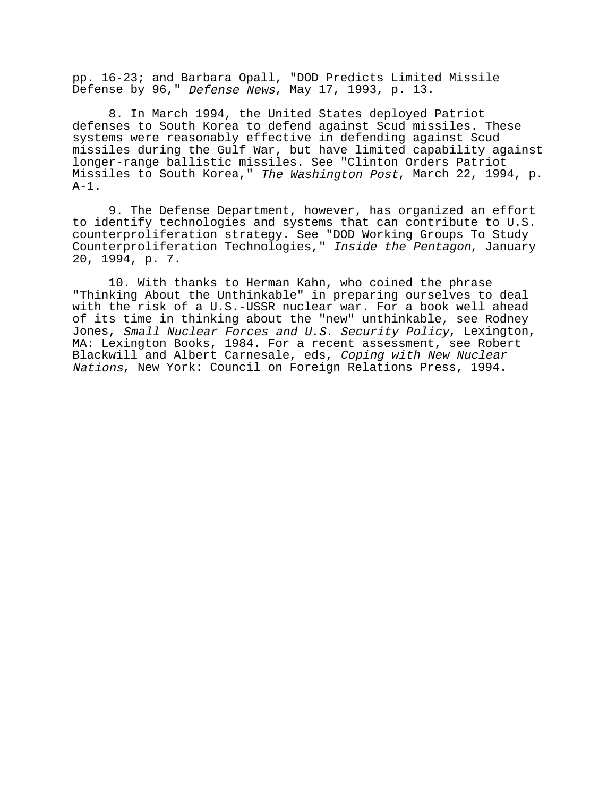pp. 16-23; and Barbara Opall, "DOD Predicts Limited Missile Defense by 96," Defense News, May 17, 1993, p. 13.

8. In March 1994, the United States deployed Patriot defenses to South Korea to defend against Scud missiles. These systems were reasonably effective in defending against Scud missiles during the Gulf War, but have limited capability against longer-range ballistic missiles. See "Clinton Orders Patriot Missiles to South Korea," The Washington Post, March 22, 1994, p.  $A-1$ .

9. The Defense Department, however, has organized an effort to identify technologies and systems that can contribute to U.S. counterproliferation strategy. See "DOD Working Groups To Study Counterproliferation Technologies," Inside the Pentagon, January 20, 1994, p. 7.

10. With thanks to Herman Kahn, who coined the phrase "Thinking About the Unthinkable" in preparing ourselves to deal with the risk of a U.S.-USSR nuclear war. For a book well ahead of its time in thinking about the "new" unthinkable, see Rodney Jones, Small Nuclear Forces and U.S. Security Policy, Lexington, MA: Lexington Books, 1984. For a recent assessment, see Robert Blackwill and Albert Carnesale, eds, Coping with New Nuclear Nations, New York: Council on Foreign Relations Press, 1994.